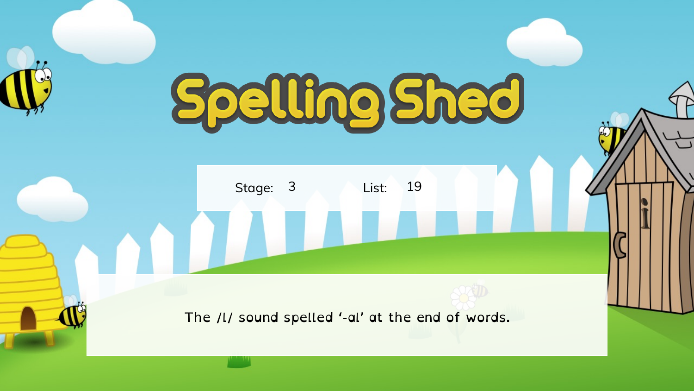## Spelling Shed

Stage: 3 List: 19

N TILL

The /l/ sound spelled '-al' at the end of words.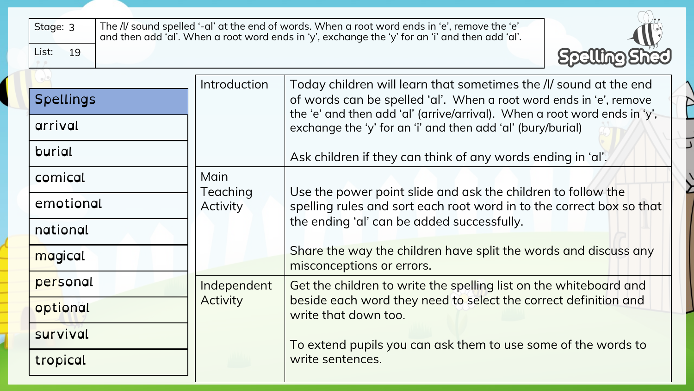| Stage: 3<br>List:<br>19              |                      | The /l/ sound spelled '-al' at the end of words. When a root word ends in 'e', remove the 'e'<br>and then add 'al'. When a root word ends in 'y', exchange the 'y' for an 'i' and then add 'al'. |  |  |  |
|--------------------------------------|----------------------|--------------------------------------------------------------------------------------------------------------------------------------------------------------------------------------------------|--|--|--|
| <b>Spellings</b>                     | Introduction         | Today children will learn that sometimes the /l/ sound at the end<br>of words can be spelled 'al'. When a root word ends in 'e', remove                                                          |  |  |  |
| arrival                              |                      | the 'e' and then add 'al' (arrive/arrival). When a root word ends in 'y',<br>exchange the 'y' for an 'i' and then add 'al' (bury/burial)                                                         |  |  |  |
| burial                               |                      | Ask children if they can think of any words ending in 'al'.                                                                                                                                      |  |  |  |
| comical                              | Main                 |                                                                                                                                                                                                  |  |  |  |
| emotional                            | Teaching<br>Activity | Use the power point slide and ask the children to follow the<br>spelling rules and sort each root word in to the correct box so that                                                             |  |  |  |
| national                             |                      | the ending 'al' can be added successfully.                                                                                                                                                       |  |  |  |
| magical<br>misconceptions or errors. |                      | Share the way the children have split the words and discuss any                                                                                                                                  |  |  |  |
| personal                             | Independent          | Get the children to write the spelling list on the whiteboard and                                                                                                                                |  |  |  |
| <b>Activity</b><br>optional          |                      | beside each word they need to select the correct definition and<br>write that down too.                                                                                                          |  |  |  |
| survival                             |                      | To extend pupils you can ask them to use some of the words to                                                                                                                                    |  |  |  |
| tropical                             |                      | write sentences.                                                                                                                                                                                 |  |  |  |

 $\curvearrowright$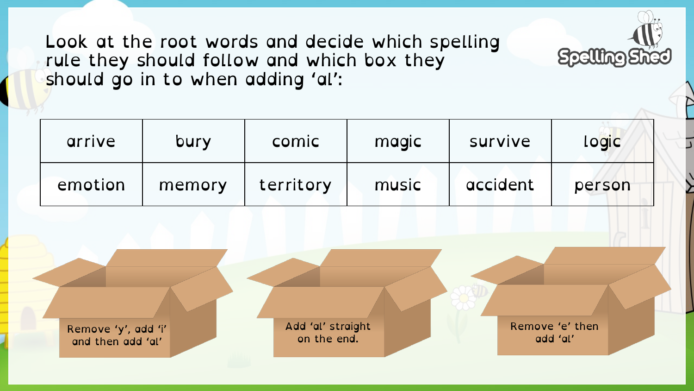Look at the root words and decide which spelling rule they should follow and which box they should go in to when adding 'al':

| arrive                                   | bury   | comic                            | magic | survive                     | <b>Logic</b> |  |
|------------------------------------------|--------|----------------------------------|-------|-----------------------------|--------------|--|
| emotion                                  | memory | territory                        | music | accident                    | person       |  |
|                                          |        |                                  |       |                             |              |  |
|                                          |        |                                  |       |                             |              |  |
|                                          |        |                                  |       |                             |              |  |
| Remove 'y', add 'i'<br>and then add 'al' |        | Add 'al' straight<br>on the end. |       | Remove 'e' then<br>add 'al' |              |  |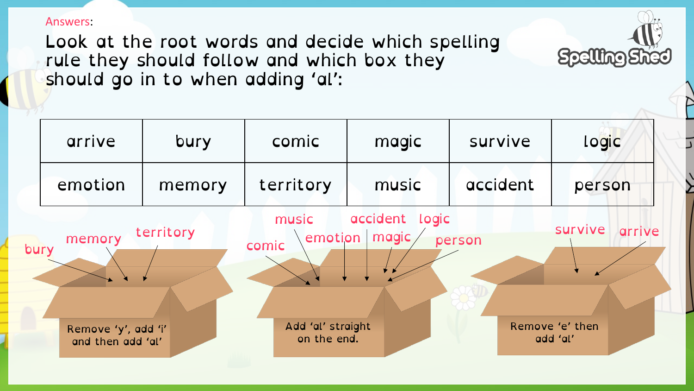Answers:

Look at the root words and decide which spelling rule they should follow and which box they should go in to when adding 'al':

|      | arrive                                             | bury      | comic                                                         | magic                   | survive  | <b>Logic</b>                                     |  |
|------|----------------------------------------------------|-----------|---------------------------------------------------------------|-------------------------|----------|--------------------------------------------------|--|
|      | emotion                                            | memory    | territory                                                     | music                   | accident | person                                           |  |
| bury | memory<br>Remove 'y', add 'i'<br>and then add 'al' | territory | music<br>emotion<br>comic<br>Add 'al' straight<br>on the end. | accident logic<br>magic | person   | survive<br>arrive<br>Remove 'e' then<br>add 'al' |  |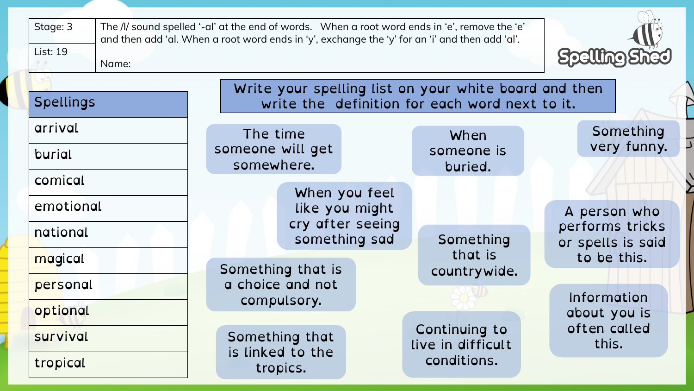| Stage: 3         |       |                                |                                       |                                    | The /l/ sound spelled '-al' at the end of words. When a root word ends in 'e', remove the 'e'<br>and then add 'al. When a root word ends in 'y', exchange the 'y' for an 'i' and then add 'al'. |                                      |
|------------------|-------|--------------------------------|---------------------------------------|------------------------------------|-------------------------------------------------------------------------------------------------------------------------------------------------------------------------------------------------|--------------------------------------|
| <b>List: 19</b>  | Name: |                                |                                       |                                    |                                                                                                                                                                                                 |                                      |
|                  |       |                                |                                       |                                    | Write your spelling list on your white board and then                                                                                                                                           |                                      |
| <b>Spellings</b> |       |                                |                                       |                                    | write the definition for each word next to it.                                                                                                                                                  |                                      |
| arrival          |       | The time                       |                                       |                                    | When                                                                                                                                                                                            | Something                            |
| burial           |       | someone will get<br>somewhere. |                                       |                                    | someone is                                                                                                                                                                                      | very funny.                          |
| comical          |       |                                |                                       |                                    | buried.                                                                                                                                                                                         |                                      |
|                  |       |                                |                                       | When you feel                      |                                                                                                                                                                                                 |                                      |
| emotional        |       |                                |                                       | like you might<br>cry after seeing |                                                                                                                                                                                                 | A person who                         |
| national         |       |                                |                                       | something sad                      | Something                                                                                                                                                                                       | performs tricks<br>or spells is said |
| magical          |       |                                |                                       |                                    | that is                                                                                                                                                                                         | to be this.                          |
| personal         |       |                                | Something that is<br>a choice and not |                                    | countrywide.                                                                                                                                                                                    |                                      |
|                  |       |                                | compulsory.                           |                                    |                                                                                                                                                                                                 | Information                          |
| optional         |       |                                |                                       |                                    |                                                                                                                                                                                                 | about you is<br>often called         |
| survival         |       |                                | Something that                        |                                    | Continuing to<br>live in difficult                                                                                                                                                              | this.                                |
| tropical         |       |                                | is linked to the<br>tropics.          |                                    | conditions.                                                                                                                                                                                     |                                      |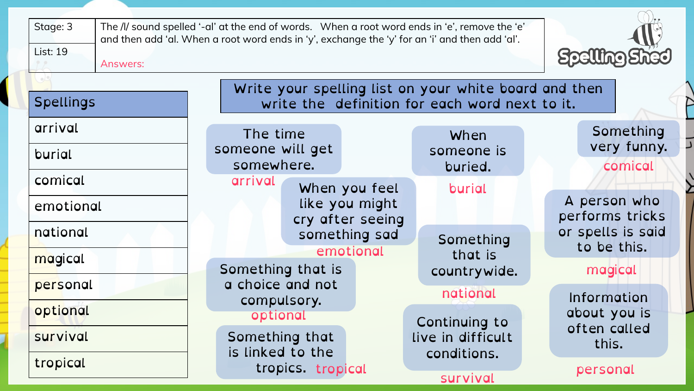| Stage: 3<br><b>List: 19</b><br>Answers:<br><b>Spellings</b> | The /l/ sound spelled '-al' at the end of words. When a root word ends in 'e', remove the 'e'<br>and then add 'al. When a root word ends in 'y', exchange the 'y' for an 'i' and then add 'al'.<br>Write your spelling list on your white board and then<br>write the definition for each word next to it. |                                                      |                                                                     |
|-------------------------------------------------------------|------------------------------------------------------------------------------------------------------------------------------------------------------------------------------------------------------------------------------------------------------------------------------------------------------------|------------------------------------------------------|---------------------------------------------------------------------|
| arrival<br>burial                                           | The time<br>someone will get<br>somewhere.                                                                                                                                                                                                                                                                 | When<br>someone is<br>buried.                        | Something<br>very funny.<br>comical                                 |
| comical<br>emotional<br>national                            | arrival<br>When you feel<br>like you might<br>cry after seeing<br>something sad<br>emotional                                                                                                                                                                                                               | burial<br>Something                                  | A person who<br>performs tricks<br>or spells is said<br>to be this. |
| magical<br>personal<br>optional                             | Something that is<br>a choice and not<br>compulsory.<br>optional                                                                                                                                                                                                                                           | that is<br>countrywide.<br>national<br>Continuing to | magical<br>Information<br>about you is                              |
| survival<br>tropical                                        | Something that<br>is linked to the<br>tropics. tropical                                                                                                                                                                                                                                                    | live in difficult<br>conditions.<br>survival         | often called<br>this.<br>personal                                   |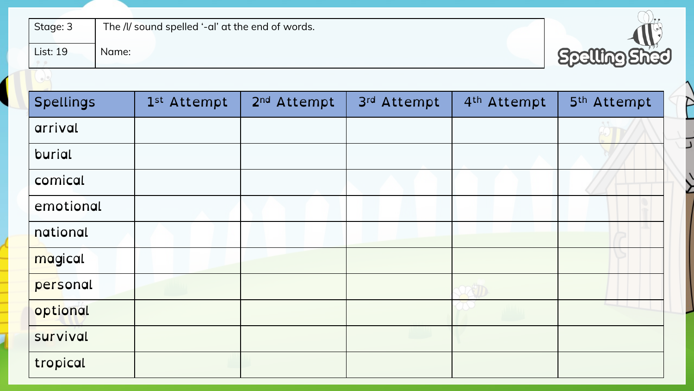| Stage: 3<br>The /l/ sound spelled '-al' at the end of words.<br><b>List: 19</b><br><b>Spelling Shed</b><br>Name: |             |                         |             |                         |             |  |
|------------------------------------------------------------------------------------------------------------------|-------------|-------------------------|-------------|-------------------------|-------------|--|
| <b>Spellings</b>                                                                                                 | 1st Attempt | 2 <sup>nd</sup> Attempt | 3rd Attempt | 4 <sup>th</sup> Attempt | 5th Attempt |  |
| arrival                                                                                                          |             |                         |             |                         |             |  |
| burial                                                                                                           |             |                         |             |                         |             |  |
| comical                                                                                                          |             |                         |             |                         |             |  |
| emotional                                                                                                        |             |                         |             |                         |             |  |
| national                                                                                                         |             |                         |             |                         |             |  |
| magical                                                                                                          |             |                         |             |                         |             |  |
| personal                                                                                                         |             |                         |             |                         |             |  |
| optional                                                                                                         |             |                         |             |                         |             |  |
| survival                                                                                                         |             |                         |             |                         |             |  |
| tropical                                                                                                         |             |                         |             |                         |             |  |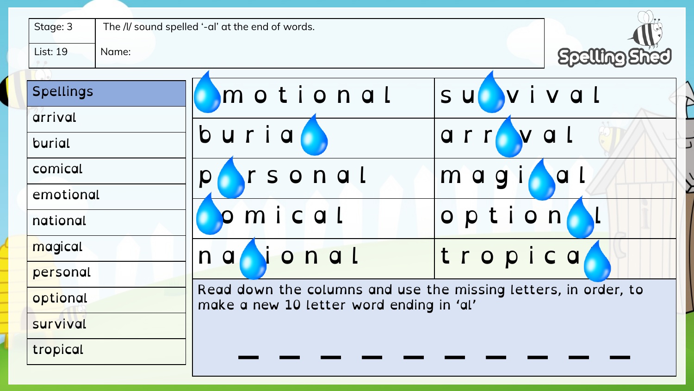| Stage: 3<br><b>List: 19</b><br>Name: | The /l/ sound spelled '-al' at the end of words.                                                            | <b>Spelling Shed</b>   |
|--------------------------------------|-------------------------------------------------------------------------------------------------------------|------------------------|
| <b>Spellings</b>                     | motional                                                                                                    | subvival               |
| arrival                              |                                                                                                             |                        |
| burial                               | $b$ uria $\bullet$                                                                                          | arroval                |
| comical                              | rsonal<br>$\boldsymbol{Q}$                                                                                  | $\overline{a}$<br>magi |
| emotional                            |                                                                                                             |                        |
| national                             | omical                                                                                                      | option                 |
| magical                              | Nonal<br>n a                                                                                                | tropica                |
| personal                             |                                                                                                             |                        |
| optional                             | Read down the columns and use the missing letters, in order, to<br>make a new 10 letter word ending in 'al' |                        |
| survival                             |                                                                                                             |                        |
| tropical                             |                                                                                                             |                        |